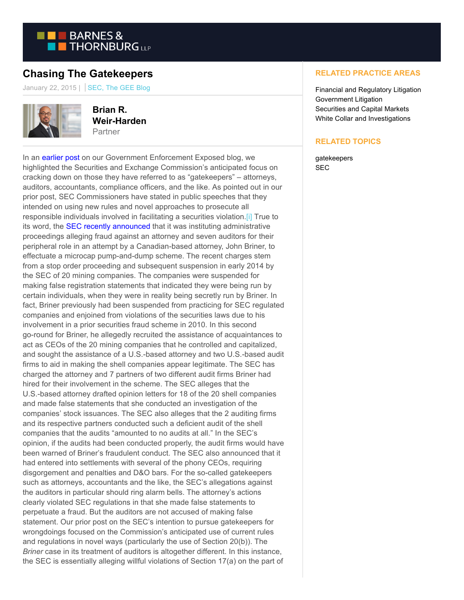

## **Chasing The Gatekeepers**

January 22, 2015 | SEC, The GEE Blog



**Brian R. Weir-Harden** Partner

In an [earlier post o](https://www.btgovtenforcement.com/gatekeepers-beware-a-new-tool-of-the-sec/)n our Government Enforcement Exposed blog, we highlighted the Securities and Exchange Commission's anticipated focus on cracking down on those they have referred to as "gatekeepers" – attorneys, auditors, accountants, compliance officers, and the like. As pointed out in our prior post, SEC Commissioners have stated in public speeches that they intended on using new rules and novel approaches to prosecute all responsible individuals involved in facilitating a securities violation[.\[i\] T](https://btlaw.com/en/insights/blogs/government-relations/2015/chasing-the-gatekeepers?p=1#_edn1)rue to its word, the **SEC recently announced** that it was instituting administrative proceedings alleging fraud against an attorney and seven auditors for their peripheral role in an attempt by a Canadian-based attorney, John Briner, to effectuate a microcap pump-and-dump scheme. The recent charges stem from a stop order proceeding and subsequent suspension in early 2014 by the SEC of 20 mining companies. The companies were suspended for making false registration statements that indicated they were being run by certain individuals, when they were in reality being secretly run by Briner. In fact, Briner previously had been suspended from practicing for SEC regulated companies and enjoined from violations of the securities laws due to his involvement in a prior securities fraud scheme in 2010. In this second go-round for Briner, he allegedly recruited the assistance of acquaintances to act as CEOs of the 20 mining companies that he controlled and capitalized, and sought the assistance of a U.S.-based attorney and two U.S.-based audit firms to aid in making the shell companies appear legitimate. The SEC has charged the attorney and 7 partners of two different audit firms Briner had hired for their involvement in the scheme. The SEC alleges that the U.S.-based attorney drafted opinion letters for 18 of the 20 shell companies and made false statements that she conducted an investigation of the companies' stock issuances. The SEC also alleges that the 2 auditing firms and its respective partners conducted such a deficient audit of the shell companies that the audits "amounted to no audits at all." In the SEC's opinion, if the audits had been conducted properly, the audit firms would have been warned of Briner's fraudulent conduct. The SEC also announced that it had entered into settlements with several of the phony CEOs, requiring disgorgement and penalties and D&O bars. For the so-called gatekeepers such as attorneys, accountants and the like, the SEC's allegations against the auditors in particular should ring alarm bells. The attorney's actions clearly violated SEC regulations in that she made false statements to perpetuate a fraud. But the auditors are not accused of making false statement. Our prior post on the SEC's intention to pursue gatekeepers for wrongdoings focused on the Commission's anticipated use of current rules and regulations in novel ways (particularly the use of Section 20(b)). The *Briner* case in its treatment of auditors is altogether different. In this instance, the SEC is essentially alleging willful violations of Section 17(a) on the part of

## **RELATED PRACTICE AREAS**

Financial and Regulatory Litigation Government Litigation Securities and Capital Markets White Collar and Investigations

## **RELATED TOPICS**

gatekeepers SEC